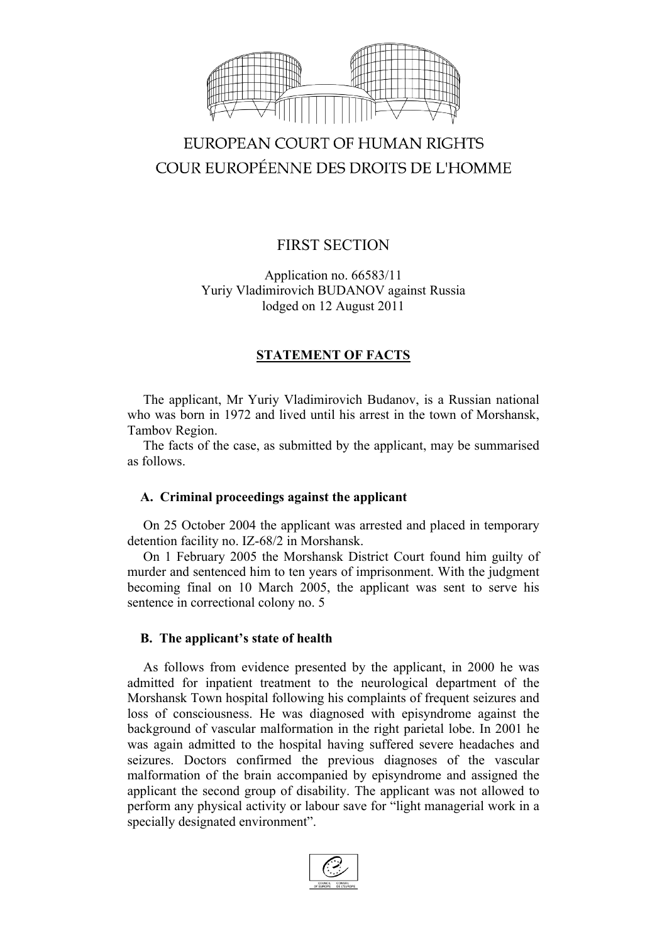

# EUROPEAN COURT OF HUMAN RIGHTS COUR EUROPÉENNE DES DROITS DE L'HOMME

# FIRST SECTION

Application no. 66583/11 Yuriy Vladimirovich BUDANOV against Russia lodged on 12 August 2011

## **STATEMENT OF FACTS**

The applicant, Mr Yuriy Vladimirovich Budanov, is a Russian national who was born in 1972 and lived until his arrest in the town of Morshansk, Tambov Region.

The facts of the case, as submitted by the applicant, may be summarised as follows.

#### **A. Criminal proceedings against the applicant**

On 25 October 2004 the applicant was arrested and placed in temporary detention facility no. IZ-68/2 in Morshansk.

On 1 February 2005 the Morshansk District Court found him guilty of murder and sentenced him to ten years of imprisonment. With the judgment becoming final on 10 March 2005, the applicant was sent to serve his sentence in correctional colony no. 5

#### **B. The applicant's state of health**

As follows from evidence presented by the applicant, in 2000 he was admitted for inpatient treatment to the neurological department of the Morshansk Town hospital following his complaints of frequent seizures and loss of consciousness. He was diagnosed with episyndrome against the background of vascular malformation in the right parietal lobe. In 2001 he was again admitted to the hospital having suffered severe headaches and seizures. Doctors confirmed the previous diagnoses of the vascular malformation of the brain accompanied by episyndrome and assigned the applicant the second group of disability. The applicant was not allowed to perform any physical activity or labour save for "light managerial work in a specially designated environment".

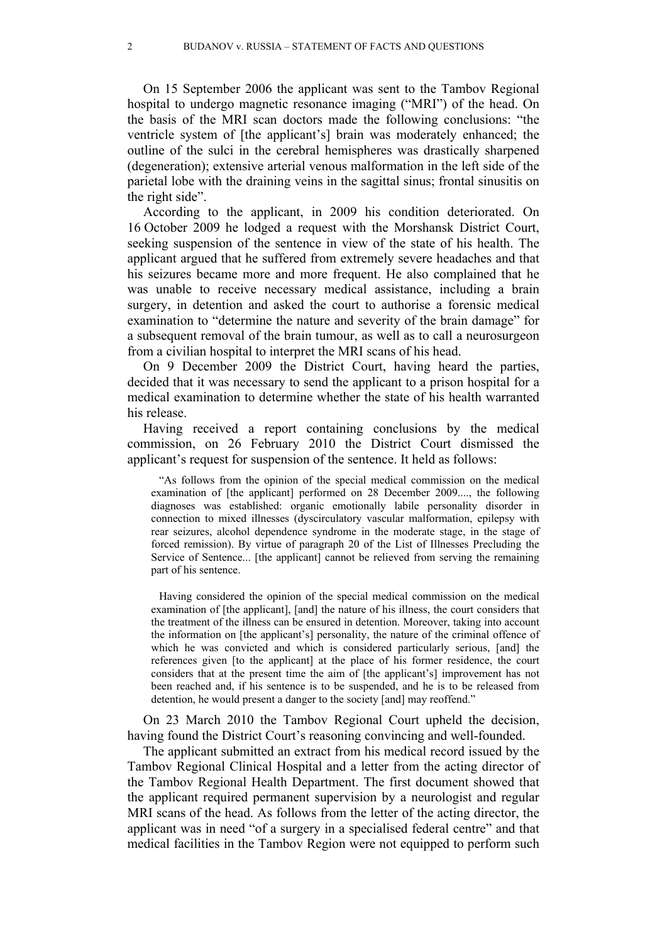On 15 September 2006 the applicant was sent to the Tambov Regional hospital to undergo magnetic resonance imaging ("MRI") of the head. On the basis of the MRI scan doctors made the following conclusions: "the ventricle system of [the applicant's] brain was moderately enhanced; the outline of the sulci in the cerebral hemispheres was drastically sharpened (degeneration); extensive arterial venous malformation in the left side of the parietal lobe with the draining veins in the sagittal sinus; frontal sinusitis on the right side".

According to the applicant, in 2009 his condition deteriorated. On 16 October 2009 he lodged a request with the Morshansk District Court, seeking suspension of the sentence in view of the state of his health. The applicant argued that he suffered from extremely severe headaches and that his seizures became more and more frequent. He also complained that he was unable to receive necessary medical assistance, including a brain surgery, in detention and asked the court to authorise a forensic medical examination to "determine the nature and severity of the brain damage" for a subsequent removal of the brain tumour, as well as to call a neurosurgeon from a civilian hospital to interpret the MRI scans of his head.

On 9 December 2009 the District Court, having heard the parties, decided that it was necessary to send the applicant to a prison hospital for a medical examination to determine whether the state of his health warranted his release.

Having received a report containing conclusions by the medical commission, on 26 February 2010 the District Court dismissed the applicant's request for suspension of the sentence. It held as follows:

"As follows from the opinion of the special medical commission on the medical examination of [the applicant] performed on 28 December 2009...., the following diagnoses was established: organic emotionally labile personality disorder in connection to mixed illnesses (dyscirculatory vascular malformation, epilepsy with rear seizures, alcohol dependence syndrome in the moderate stage, in the stage of forced remission). By virtue of paragraph 20 of the List of Illnesses Precluding the Service of Sentence... [the applicant] cannot be relieved from serving the remaining part of his sentence.

Having considered the opinion of the special medical commission on the medical examination of [the applicant], [and] the nature of his illness, the court considers that the treatment of the illness can be ensured in detention. Moreover, taking into account the information on [the applicant's] personality, the nature of the criminal offence of which he was convicted and which is considered particularly serious, [and] the references given [to the applicant] at the place of his former residence, the court considers that at the present time the aim of [the applicant's] improvement has not been reached and, if his sentence is to be suspended, and he is to be released from detention, he would present a danger to the society [and] may reoffend."

On 23 March 2010 the Tambov Regional Court upheld the decision, having found the District Court's reasoning convincing and well-founded.

The applicant submitted an extract from his medical record issued by the Tambov Regional Clinical Hospital and a letter from the acting director of the Tambov Regional Health Department. The first document showed that the applicant required permanent supervision by a neurologist and regular MRI scans of the head. As follows from the letter of the acting director, the applicant was in need "of a surgery in a specialised federal centre" and that medical facilities in the Tambov Region were not equipped to perform such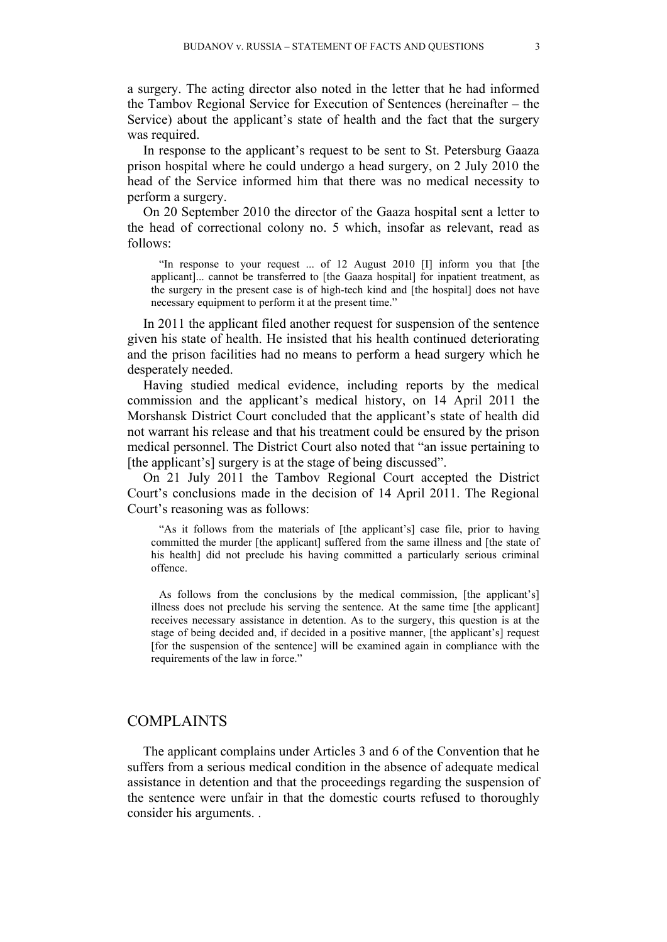a surgery. The acting director also noted in the letter that he had informed the Tambov Regional Service for Execution of Sentences (hereinafter – the Service) about the applicant's state of health and the fact that the surgery was required.

In response to the applicant's request to be sent to St. Petersburg Gaaza prison hospital where he could undergo a head surgery, on 2 July 2010 the head of the Service informed him that there was no medical necessity to perform a surgery.

On 20 September 2010 the director of the Gaaza hospital sent a letter to the head of correctional colony no. 5 which, insofar as relevant, read as follows:

"In response to your request ... of 12 August 2010 [I] inform you that [the applicant]... cannot be transferred to [the Gaaza hospital] for inpatient treatment, as the surgery in the present case is of high-tech kind and [the hospital] does not have necessary equipment to perform it at the present time."

In 2011 the applicant filed another request for suspension of the sentence given his state of health. He insisted that his health continued deteriorating and the prison facilities had no means to perform a head surgery which he desperately needed.

Having studied medical evidence, including reports by the medical commission and the applicant's medical history, on 14 April 2011 the Morshansk District Court concluded that the applicant's state of health did not warrant his release and that his treatment could be ensured by the prison medical personnel. The District Court also noted that "an issue pertaining to [the applicant's] surgery is at the stage of being discussed".

On 21 July 2011 the Tambov Regional Court accepted the District Court's conclusions made in the decision of 14 April 2011. The Regional Court's reasoning was as follows:

"As it follows from the materials of [the applicant's] case file, prior to having committed the murder [the applicant] suffered from the same illness and [the state of his health] did not preclude his having committed a particularly serious criminal offence.

As follows from the conclusions by the medical commission, [the applicant's] illness does not preclude his serving the sentence. At the same time [the applicant] receives necessary assistance in detention. As to the surgery, this question is at the stage of being decided and, if decided in a positive manner, [the applicant's] request [for the suspension of the sentence] will be examined again in compliance with the requirements of the law in force."

## COMPLAINTS

The applicant complains under Articles 3 and 6 of the Convention that he suffers from a serious medical condition in the absence of adequate medical assistance in detention and that the proceedings regarding the suspension of the sentence were unfair in that the domestic courts refused to thoroughly consider his arguments. .